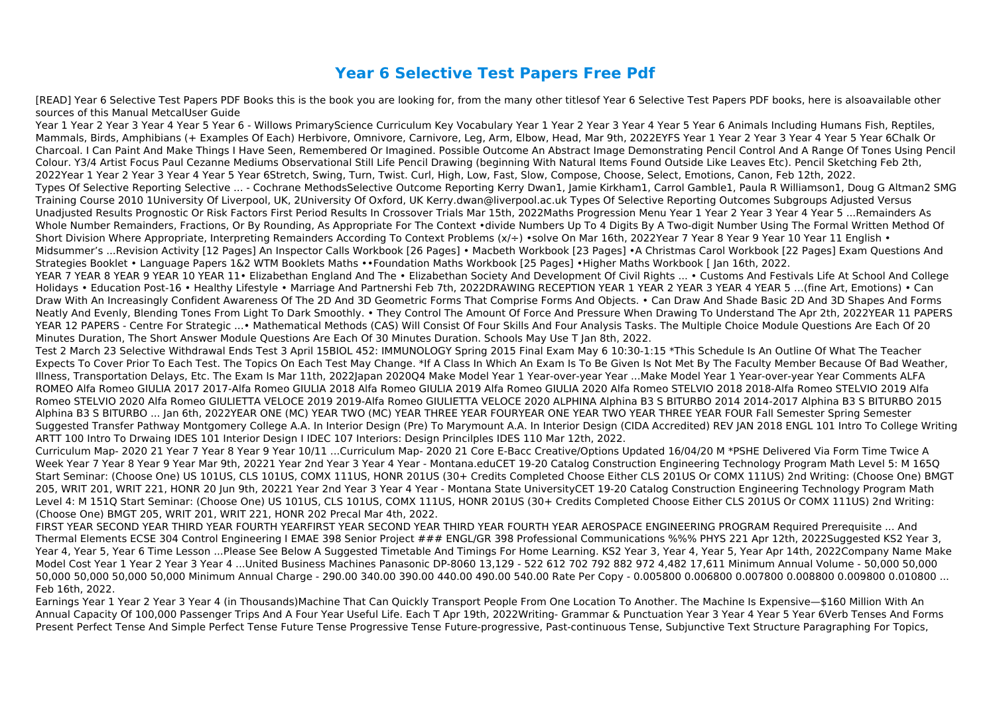## **Year 6 Selective Test Papers Free Pdf**

[READ] Year 6 Selective Test Papers PDF Books this is the book you are looking for, from the many other titlesof Year 6 Selective Test Papers PDF books, here is alsoavailable other sources of this Manual MetcalUser Guide

Year 1 Year 2 Year 3 Year 4 Year 5 Year 6 - Willows PrimaryScience Curriculum Key Vocabulary Year 1 Year 2 Year 3 Year 4 Year 5 Year 6 Animals Including Humans Fish, Reptiles, Mammals, Birds, Amphibians (+ Examples Of Each) Herbivore, Omnivore, Carnivore, Leg, Arm, Elbow, Head, Mar 9th, 2022EYFS Year 1 Year 2 Year 3 Year 4 Year 5 Year 6Chalk Or Charcoal. I Can Paint And Make Things I Have Seen, Remembered Or Imagined. Possible Outcome An Abstract Image Demonstrating Pencil Control And A Range Of Tones Using Pencil Colour. Y3/4 Artist Focus Paul Cezanne Mediums Observational Still Life Pencil Drawing (beginning With Natural Items Found Outside Like Leaves Etc). Pencil Sketching Feb 2th, 2022Year 1 Year 2 Year 3 Year 4 Year 5 Year 6Stretch, Swing, Turn, Twist. Curl, High, Low, Fast, Slow, Compose, Choose, Select, Emotions, Canon, Feb 12th, 2022. Types Of Selective Reporting Selective ... - Cochrane MethodsSelective Outcome Reporting Kerry Dwan1, Jamie Kirkham1, Carrol Gamble1, Paula R Williamson1, Doug G Altman2 SMG Training Course 2010 1University Of Liverpool, UK, 2University Of Oxford, UK Kerry.dwan@liverpool.ac.uk Types Of Selective Reporting Outcomes Subgroups Adjusted Versus Unadjusted Results Prognostic Or Risk Factors First Period Results In Crossover Trials Mar 15th, 2022Maths Progression Menu Year 1 Year 2 Year 3 Year 4 Year 5 ...Remainders As Whole Number Remainders, Fractions, Or By Rounding, As Appropriate For The Context •divide Numbers Up To 4 Digits By A Two-digit Number Using The Formal Written Method Of Short Division Where Appropriate, Interpreting Remainders According To Context Problems (x/÷) •solve On Mar 16th, 2022Year 7 Year 8 Year 9 Year 10 Year 11 English • Midsummer's ...Revision Activity [12 Pages] An Inspector Calls Workbook [26 Pages] • Macbeth Workbook [23 Pages] •A Christmas Carol Workbook [22 Pages] Exam Questions And Strategies Booklet • Language Papers 1&2 WTM Booklets Maths ••Foundation Maths Workbook [25 Pages] •Higher Maths Workbook [ Jan 16th, 2022. YEAR 7 YEAR 8 YEAR 9 YEAR 10 YEAR 11 • Elizabethan England And The • Elizabethan Society And Development Of Civil Rights ... • Customs And Festivals Life At School And College Holidays • Education Post-16 • Healthy Lifestyle • Marriage And Partnershi Feb 7th, 2022DRAWING RECEPTION YEAR 1 YEAR 2 YEAR 3 YEAR 4 YEAR 5 …(fine Art, Emotions) • Can Draw With An Increasingly Confident Awareness Of The 2D And 3D Geometric Forms That Comprise Forms And Objects. • Can Draw And Shade Basic 2D And 3D Shapes And Forms Neatly And Evenly, Blending Tones From Light To Dark Smoothly. • They Control The Amount Of Force And Pressure When Drawing To Understand The Apr 2th, 2022YEAR 11 PAPERS YEAR 12 PAPERS - Centre For Strategic ...• Mathematical Methods (CAS) Will Consist Of Four Skills And Four Analysis Tasks. The Multiple Choice Module Questions Are Each Of 20 Minutes Duration, The Short Answer Module Questions Are Each Of 30 Minutes Duration. Schools May Use T Jan 8th, 2022.

Test 2 March 23 Selective Withdrawal Ends Test 3 April 15BIOL 452: IMMUNOLOGY Spring 2015 Final Exam May 6 10:30-1:15 \*This Schedule Is An Outline Of What The Teacher Expects To Cover Prior To Each Test. The Topics On Each Test May Change. \*If A Class In Which An Exam Is To Be Given Is Not Met By The Faculty Member Because Of Bad Weather, Illness, Transportation Delays, Etc. The Exam Is Mar 11th, 2022Japan 2020Q4 Make Model Year 1 Year-over-year Year ...Make Model Year 1 Year-over-year Year Comments ALFA ROMEO Alfa Romeo GIULIA 2017 2017-Alfa Romeo GIULIA 2018 Alfa Romeo GIULIA 2019 Alfa Romeo GIULIA 2020 Alfa Romeo STELVIO 2018 2018-Alfa Romeo STELVIO 2019 Alfa Romeo STELVIO 2020 Alfa Romeo GIULIETTA VELOCE 2019 2019-Alfa Romeo GIULIETTA VELOCE 2020 ALPHINA Alphina B3 S BITURBO 2014 2014-2017 Alphina B3 S BITURBO 2015 Alphina B3 S BITURBO ... Jan 6th, 2022YEAR ONE (MC) YEAR TWO (MC) YEAR THREE YEAR FOURYEAR ONE YEAR TWO YEAR THREE YEAR FOUR Fall Semester Spring Semester Suggested Transfer Pathway Montgomery College A.A. In Interior Design (Pre) To Marymount A.A. In Interior Design (CIDA Accredited) REV JAN 2018 ENGL 101 Intro To College Writing ARTT 100 Intro To Drwaing IDES 101 Interior Design I IDEC 107 Interiors: Design Princilples IDES 110 Mar 12th, 2022.

Curriculum Map- 2020 21 Year 7 Year 8 Year 9 Year 10/11 ...Curriculum Map- 2020 21 Core E-Bacc Creative/Options Updated 16/04/20 M \*PSHE Delivered Via Form Time Twice A Week Year 7 Year 8 Year 9 Year Mar 9th, 20221 Year 2nd Year 3 Year 4 Year - Montana.eduCET 19-20 Catalog Construction Engineering Technology Program Math Level 5: M 165Q Start Seminar: (Choose One) US 101US, CLS 101US, COMX 111US, HONR 201US (30+ Credits Completed Choose Either CLS 201US Or COMX 111US) 2nd Writing: (Choose One) BMGT 205, WRIT 201, WRIT 221, HONR 20 Jun 9th, 20221 Year 2nd Year 3 Year 4 Year - Montana State UniversityCET 19-20 Catalog Construction Engineering Technology Program Math Level 4: M 151Q Start Seminar: (Choose One) US 101US, CLS 101US, COMX 111US, HONR 201US (30+ Credits Completed Choose Either CLS 201US Or COMX 111US) 2nd Writing: (Choose One) BMGT 205, WRIT 201, WRIT 221, HONR 202 Precal Mar 4th, 2022.

FIRST YEAR SECOND YEAR THIRD YEAR FOURTH YEARFIRST YEAR SECOND YEAR THIRD YEAR FOURTH YEAR AEROSPACE ENGINEERING PROGRAM Required Prerequisite ... And Thermal Elements ECSE 304 Control Engineering I EMAE 398 Senior Project ### ENGL/GR 398 Professional Communications %%% PHYS 221 Apr 12th, 2022Suggested KS2 Year 3, Year 4, Year 5, Year 6 Time Lesson ...Please See Below A Suggested Timetable And Timings For Home Learning. KS2 Year 3, Year 4, Year 5, Year Apr 14th, 2022Company Name Make Model Cost Year 1 Year 2 Year 3 Year 4 ...United Business Machines Panasonic DP-8060 13,129 - 522 612 702 792 882 972 4,482 17,611 Minimum Annual Volume - 50,000 50,000 50,000 50,000 50,000 50,000 Minimum Annual Charge - 290.00 340.00 390.00 440.00 490.00 540.00 Rate Per Copy - 0.005800 0.006800 0.007800 0.008800 0.009800 0.010800 ... Feb 16th, 2022.

Earnings Year 1 Year 2 Year 3 Year 4 (in Thousands)Machine That Can Quickly Transport People From One Location To Another. The Machine Is Expensive—\$160 Million With An Annual Capacity Of 100,000 Passenger Trips And A Four Year Useful Life. Each T Apr 19th, 2022Writing- Grammar & Punctuation Year 3 Year 4 Year 5 Year 6Verb Tenses And Forms Present Perfect Tense And Simple Perfect Tense Future Tense Progressive Tense Future-progressive, Past-continuous Tense, Subjunctive Text Structure Paragraphing For Topics,